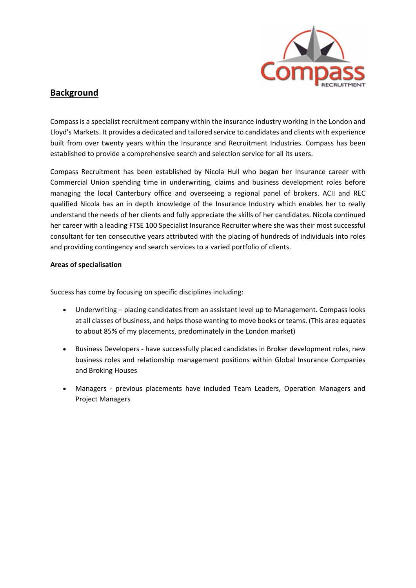

## **Background**

Compass is a specialist recruitment company within the insurance industry working in the London and Lloyd's Markets. It provides a dedicated and tailored service to candidates and clients with experience built from over twenty years within the Insurance and Recruitment Industries. Compass has been established to provide a comprehensive search and selection service for all its users.

Compass Recruitment has been established by Nicola Hull who began her Insurance career with Commercial Union spending time in underwriting, claims and business development roles before managing the local Canterbury office and overseeing a regional panel of brokers. ACII and REC qualified Nicola has an in depth knowledge of the Insurance Industry which enables her to really understand the needs of her clients and fully appreciate the skills of her candidates. Nicola continued her career with a leading FTSE 100 Specialist Insurance Recruiter where she was their most successful consultant for ten consecutive years attributed with the placing of hundreds of individuals into roles and providing contingency and search services to a varied portfolio of clients.

## **Areas of specialisation**

Success has come by focusing on specific disciplines including:

- Underwriting placing candidates from an assistant level up to Management. Compass looks at all classes of business, and helps those wanting to move books or teams. (This area equates to about 85% of my placements, predominately in the London market)
- Business Developers ‐ have successfully placed candidates in Broker development roles, new business roles and relationship management positions within Global Insurance Companies and Broking Houses
- Managers previous placements have included Team Leaders, Operation Managers and Project Managers